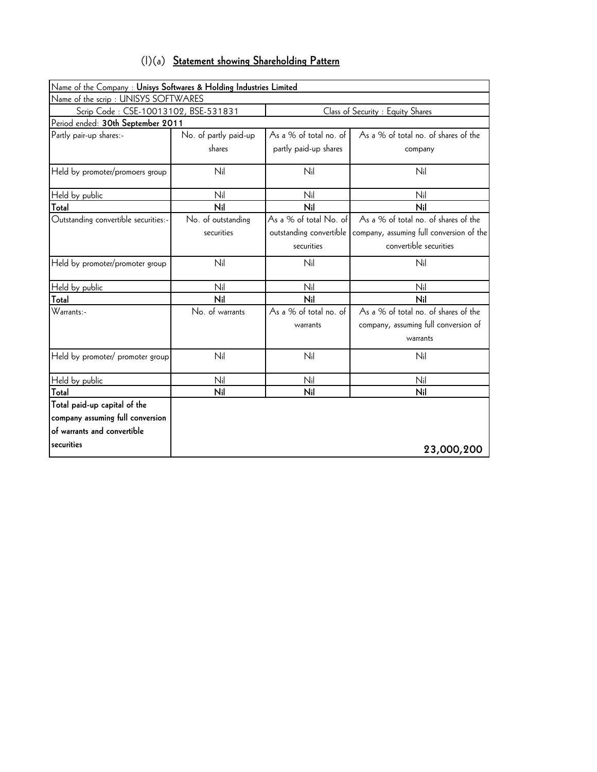| $(1)(a)$ Statement showing Shareholding Pattern |
|-------------------------------------------------|
|-------------------------------------------------|

| Name of the Company: Unisys Softwares & Holding Industries Limited |                                                                           |                         |                                          |  |  |  |  |  |
|--------------------------------------------------------------------|---------------------------------------------------------------------------|-------------------------|------------------------------------------|--|--|--|--|--|
| Name of the scrip: UNISYS SOFTWARES                                |                                                                           |                         |                                          |  |  |  |  |  |
|                                                                    | Scrip Code: CSE-10013102, BSE-531831<br>Class of Security : Equity Shares |                         |                                          |  |  |  |  |  |
| Period ended: 30th September 2011                                  |                                                                           |                         |                                          |  |  |  |  |  |
| Partly pair-up shares:-                                            | No. of partly paid-up                                                     | As a % of total no. of  | As a % of total no. of shares of the     |  |  |  |  |  |
|                                                                    | shares                                                                    | partly paid-up shares   | company                                  |  |  |  |  |  |
| Held by promoter/promoers group                                    | Nil                                                                       | Nil                     | Nil                                      |  |  |  |  |  |
| Held by public                                                     | Nil                                                                       | Nil                     | Nil                                      |  |  |  |  |  |
| Total                                                              | Nil                                                                       | Nil                     | Nil                                      |  |  |  |  |  |
| Outstanding convertible securities:-                               | No. of outstanding                                                        | As a % of total No. of  | As a % of total no. of shares of the     |  |  |  |  |  |
|                                                                    | securities                                                                | outstanding convertible | company, assuming full conversion of the |  |  |  |  |  |
|                                                                    |                                                                           | securities              | convertible securities                   |  |  |  |  |  |
| Held by promoter/promoter group                                    | Nil                                                                       | Nil                     | Nil                                      |  |  |  |  |  |
| Held by public                                                     | Nil                                                                       | Nil                     | Nil                                      |  |  |  |  |  |
| Total                                                              | Nil                                                                       | Nil                     | Nil                                      |  |  |  |  |  |
| Warrants:-                                                         | No. of warrants                                                           | As a % of total no. of  | As a % of total no. of shares of the     |  |  |  |  |  |
|                                                                    |                                                                           | warrants                | company, assuming full conversion of     |  |  |  |  |  |
|                                                                    |                                                                           |                         | warrants                                 |  |  |  |  |  |
| Held by promoter/ promoter group                                   | Nil                                                                       | Nil                     | Nil                                      |  |  |  |  |  |
| Held by public                                                     | Nil                                                                       | Nil                     | Nil                                      |  |  |  |  |  |
| Total                                                              | Nil                                                                       | Nil                     | Nil                                      |  |  |  |  |  |
| Total paid-up capital of the                                       |                                                                           |                         |                                          |  |  |  |  |  |
| company assuming full conversion                                   |                                                                           |                         |                                          |  |  |  |  |  |
| of warrants and convertible                                        |                                                                           |                         |                                          |  |  |  |  |  |
| securities                                                         |                                                                           |                         | 23,000,200                               |  |  |  |  |  |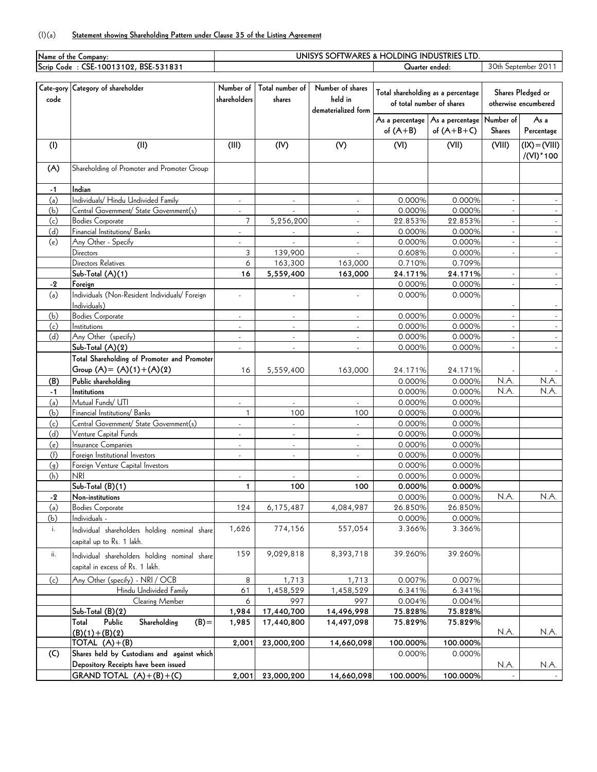## (I)(a) **Statement showing Shareholding Pattern under Clause 35 of the Listing Agreement**

|             | Name of the Company:                                               | UNISYS SOFTWARES & HOLDING INDUSTRIES LTD. |                          |                     |                           |                                    |                     |                      |
|-------------|--------------------------------------------------------------------|--------------------------------------------|--------------------------|---------------------|---------------------------|------------------------------------|---------------------|----------------------|
|             | Scrip Code: CSE-10013102, BSE-531831                               |                                            |                          |                     | Quarter ended:            |                                    | 30th September 2011 |                      |
|             |                                                                    |                                            |                          |                     |                           |                                    |                     |                      |
|             | Cate-gory Category of shareholder                                  | Number of                                  | Total number of          | Number of shares    |                           |                                    |                     |                      |
| code        |                                                                    | shareholders                               | shares                   | held in             |                           | Total shareholding as a percentage |                     | Shares Pledged or    |
|             |                                                                    |                                            |                          | dematerialized form | of total number of shares |                                    |                     | otherwise encumbered |
|             |                                                                    |                                            |                          |                     |                           | As a percentage As a percentage    | Number of           | As a                 |
|             |                                                                    |                                            |                          |                     | of $(A+B)$                | of $(A+B+C)$                       | <b>Shares</b>       | Percentage           |
| (1)         | (II)                                                               | (III)                                      | (IV)                     | (V)                 | (VI)                      | (VII)                              | (VIII)              | $(IX) = (VIII)$      |
|             |                                                                    |                                            |                          |                     |                           |                                    |                     | $/(VI)*100$          |
|             |                                                                    |                                            |                          |                     |                           |                                    |                     |                      |
| (A)         | Shareholding of Promoter and Promoter Group                        |                                            |                          |                     |                           |                                    |                     |                      |
|             | Indian                                                             |                                            |                          |                     |                           |                                    |                     |                      |
| $-1$<br>(a) | Individuals/ Hindu Undivided Family                                |                                            |                          |                     | 0.000%                    |                                    |                     |                      |
| (b)         |                                                                    | ÷,                                         | $\overline{\phantom{a}}$ |                     | 0.000%                    | 0.000%<br>0.000%                   |                     |                      |
| (c)         | Central Government/ State Government(s)<br><b>Bodies Corporate</b> | ÷.<br>$\overline{7}$                       | 5,256,200                | $\mathcal{L}$       | 22.853%                   | 22.853%                            |                     |                      |
| (d)         | Financial Institutions/ Banks                                      | $\blacksquare$                             |                          | $\blacksquare$      | 0.000%                    | 0.000%                             | $\sim$              |                      |
| (e)         | Any Other - Specify                                                |                                            | $\overline{\phantom{a}}$ | $\blacksquare$      | 0.000%                    | 0.000%                             |                     |                      |
|             | Directors                                                          | 3                                          | 139,900                  |                     | 0.608%                    | 0.000%                             |                     |                      |
|             | Directors Relatives                                                | 6                                          | 163,300                  | 163,000             | 0.710%                    | 0.709%                             |                     |                      |
|             | Sub-Total (A)(1)                                                   | 16                                         | 5,559,400                | 163,000             | 24.171%                   | 24.171%                            |                     |                      |
| $-2$        | Foreign                                                            |                                            |                          |                     | 0.000%                    | 0.000%                             | $\overline{a}$      |                      |
| (a)         | Individuals (Non-Resident Individuals/ Foreign                     |                                            |                          |                     | 0.000%                    | 0.000%                             |                     |                      |
|             | Individuals)                                                       |                                            |                          |                     |                           |                                    |                     |                      |
| (b)         | <b>Bodies Corporate</b>                                            | $\blacksquare$                             | $\blacksquare$           |                     | 0.000%                    | 0.000%                             |                     |                      |
| (c)         | Institutions                                                       | $\overline{a}$                             | $\mathcal{L}$            | $\mathcal{L}$       | 0.000%                    | 0.000%                             |                     |                      |
| (d)         | Any Other (specify)                                                | $\blacksquare$                             | $\blacksquare$           | $\blacksquare$      | 0.000%                    | 0.000%                             | $\sim$              |                      |
|             | Sub-Total (A)(2)                                                   | $\blacksquare$                             | $\overline{\phantom{a}}$ |                     | 0.000%                    | 0.000%                             |                     |                      |
|             | Total Shareholding of Promoter and Promoter                        |                                            |                          |                     |                           |                                    |                     |                      |
|             | Group $(A) = (A)(1) + (A)(2)$                                      | 16                                         | 5,559,400                | 163,000             | 24.171%                   | 24.171%                            |                     |                      |
| (B)         | Public shareholding                                                |                                            |                          |                     | 0.000%                    | 0.000%                             | N.A.                | N.A.                 |
| $-1$        | Institutions                                                       |                                            |                          |                     | 0.000%                    | 0.000%                             | N.A.                | N.A.                 |
| (a)         | Mutual Funds/ UTI                                                  |                                            |                          |                     | 0.000%                    | 0.000%                             |                     |                      |
| (b)         | Financial Institutions/ Banks                                      | $\mathbf{1}$                               | 100                      | 100                 | 0.000%                    | 0.000%                             |                     |                      |
| (c)         | Central Government/ State Government(s)                            |                                            | ÷,                       | $\blacksquare$      | 0.000%                    | 0.000%                             |                     |                      |
| (d)         | Venture Capital Funds                                              | ÷,                                         | ÷,                       |                     | 0.000%                    | 0.000%                             |                     |                      |
| (e)         | Insurance Companies                                                | $\overline{a}$                             | $\sim$                   | $\sim$              | 0.000%                    | 0.000%                             |                     |                      |
| (f)         | Foreign Institutional Investors                                    | $\overline{a}$                             | $\overline{a}$           | ÷.                  | 0.000%                    | 0.000%                             |                     |                      |
| (q)         | Foreign Venture Capital Investors                                  |                                            |                          |                     | 0.000%                    | 0.000%                             |                     |                      |
| (h)         | <b>NRI</b>                                                         |                                            |                          |                     | 0.000%                    | 0.000%                             |                     |                      |
|             | $Sub-Total (B)(1)$                                                 | 1                                          | 100                      | 100                 | 0.000%                    | 0.000%                             |                     |                      |
| -2          | Non-institutions                                                   |                                            |                          |                     | 0.000%                    | 0.000%                             | N.A.                | N.A.                 |
| (a)         | <b>Bodies Corporate</b>                                            | 124                                        | 6,175,487                | 4,084,987           | 26.850%                   | 26.850%                            |                     |                      |
| (b)         | Individuals -                                                      |                                            |                          |                     | 0.000%                    | 0.000%                             |                     |                      |
| i.          | Individual shareholders holding nominal share                      | 1,626                                      | 774,156                  | 557,054             | 3.366%                    | 3.366%                             |                     |                      |
|             | capital up to Rs. 1 lakh.                                          |                                            |                          |                     |                           |                                    |                     |                      |
|             |                                                                    | 159                                        |                          | 8,393,718           |                           |                                    |                     |                      |
| ii.         | Individual shareholders holding nominal share                      |                                            | 9,029,818                |                     | 39.260%                   | 39.260%                            |                     |                      |
|             | capital in excess of Rs. 1 lakh.                                   |                                            |                          |                     |                           |                                    |                     |                      |
| (c)         | Any Other (specify) - NRI / OCB                                    | 8                                          | 1,713                    | 1,713               | 0.007%                    | 0.007%                             |                     |                      |
|             | Hindu Undivided Family                                             | 61                                         | 1,458,529                | 1,458,529           | 6.341%                    | 6.341%                             |                     |                      |
|             | Clearing Member                                                    | 6                                          | 997                      | 997                 | 0.004%                    | 0.004%                             |                     |                      |
|             | $Sub-Total (B)(2)$                                                 | 1,984                                      | 17,440,700               | 14,496,998          | 75.828%                   | 75.828%                            |                     |                      |
|             | Public<br>Shareholding<br>$(B) =$<br>Total                         | 1,985                                      | 17,440,800               | 14,497,098          | 75.829%                   | 75.829%                            |                     |                      |
|             | $(B)(1)+(B)(2)$                                                    |                                            |                          |                     |                           |                                    | N.A.                | N.A.                 |
|             | TOTAL $(A)+(B)$                                                    | 2,001                                      | 23,000,200               | 14,660,098          | 100.000%                  | 100.000%                           |                     |                      |
| (C)         | Shares held by Custodians and against which                        |                                            |                          |                     | 0.000%                    | 0.000%                             |                     |                      |
|             | Depository Receipts have been issued                               |                                            |                          |                     |                           |                                    | N.A.                | N.A.                 |
|             | GRAND TOTAL $(A)+(B)+(C)$                                          | 2,001                                      | 23,000,200               | 14,660,098          | 100.000%                  | 100.000%                           |                     |                      |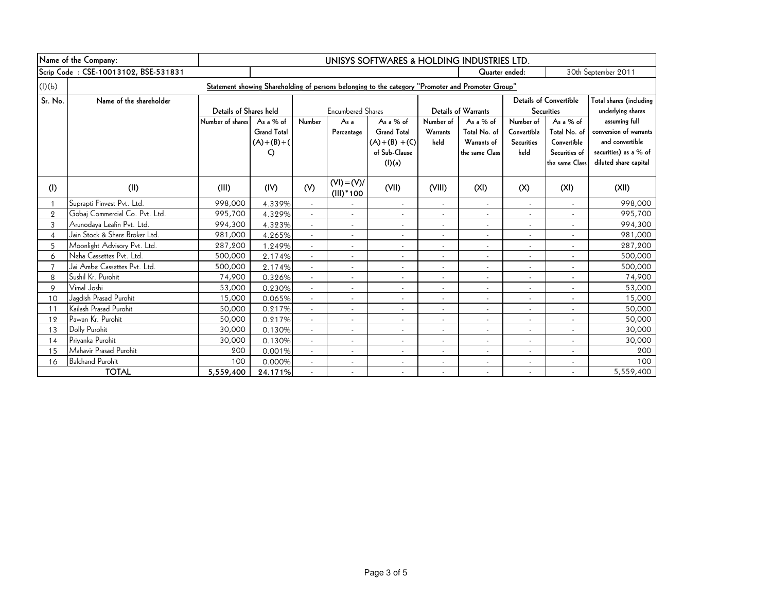|                | Name of the Company:                 | UNISYS SOFTWARES & HOLDING INDUSTRIES LTD. |                    |                          |                              |                                                                                                    |                          |                            |                          |                               |                         |
|----------------|--------------------------------------|--------------------------------------------|--------------------|--------------------------|------------------------------|----------------------------------------------------------------------------------------------------|--------------------------|----------------------------|--------------------------|-------------------------------|-------------------------|
|                | Scrip Code: CSE-10013102, BSE-531831 | Quarter ended:                             |                    |                          |                              |                                                                                                    | 30th September 2011      |                            |                          |                               |                         |
| (l)(b)         |                                      |                                            |                    |                          |                              | "Statement showing Shareholding of persons belonging to the category "Promoter and Promoter Group" |                          |                            |                          |                               |                         |
| Sr. No.        | Name of the shareholder              |                                            |                    |                          |                              |                                                                                                    |                          |                            |                          | <b>Details of Convertible</b> | Total shares (including |
|                |                                      | Details of Shares held                     |                    |                          | <b>Encumbered Shares</b>     |                                                                                                    |                          | <b>Details of Warrants</b> |                          | <b>Securities</b>             | underlying shares       |
|                |                                      | Number of shares                           | As a % of          | Number                   | As a                         | As a % of                                                                                          | Number of                | As a % of                  | Number of                | As a $%$ of                   | assuming full           |
|                |                                      |                                            | <b>Grand Total</b> |                          | Percentage                   | <b>Grand Total</b>                                                                                 | Warrants                 | Total No. of               | Convertible              | Total No. of                  | conversion of warrants  |
|                |                                      |                                            | $(A)+(B)+(C)$      |                          |                              | $(A)+(B)+(C)$                                                                                      | held                     | Warrants of                | <b>Securities</b>        | Convertible                   | and convertible         |
|                |                                      |                                            | $\mathsf{C}$       |                          |                              | of Sub-Clause                                                                                      |                          | the same Class             | held                     | Securities of                 | securities) as a % of   |
|                |                                      |                                            |                    |                          |                              | $($ l $)$ $(a)$                                                                                    |                          |                            |                          | the same Class                | diluted share capital   |
| (1)            | (II)                                 | (III)                                      | (IV)               | (V)                      | $(VI) = (V)/$<br>$(III)*100$ | (VII)                                                                                              | (VIII)                   | (XI)                       | (X)                      | (XI)                          | (X I)                   |
| $\mathbf{1}$   | Suprapti Finvest Pvt. Ltd.           | 998,000                                    | 4.339%             | $\omega$                 | $\blacksquare$               | $\overline{\phantom{a}}$                                                                           | $\sim$                   | $\overline{\phantom{a}}$   | $\blacksquare$           |                               | 998,000                 |
| $\overline{2}$ | Gobaj Commercial Co. Pvt. Ltd.       | 995,700                                    | 4.329%             | $\sim$                   | $\mathbf{r}$                 | $\blacksquare$                                                                                     | $\sim$                   | $\overline{\phantom{a}}$   | $\sim$                   |                               | 995,700                 |
| $\mathsf{3}$   | Arunodaya Leafin Pvt. Ltd.           | 994,300                                    | 4.323%             | $\blacksquare$           | $\sim$                       | $\overline{\phantom{a}}$                                                                           | $\overline{\phantom{a}}$ | $\sim$                     | $\overline{\phantom{a}}$ | $\overline{\phantom{a}}$      | 994,300                 |
| $\overline{4}$ | Jain Stock & Share Broker Ltd.       | 981,000                                    | 4.265%             |                          | $\blacksquare$               | $\blacksquare$                                                                                     |                          | ÷,                         |                          |                               | 981,000                 |
| 5              | Moonlight Advisory Pvt. Ltd.         | 287,200                                    | 1.249%             |                          | $\overline{\phantom{a}}$     | $\overline{\phantom{a}}$                                                                           | $\blacksquare$           | $\overline{\phantom{a}}$   |                          |                               | 287,200                 |
| 6              | Neha Cassettes Pvt. Ltd.             | 500,000                                    | 2.174%             | $\sim$                   | $\mathbf{r}$                 | $\sim$                                                                                             | $\overline{\phantom{a}}$ | $\mathbf{r}$               | $\blacksquare$           | $\overline{\phantom{a}}$      | 500,000                 |
| $\overline{7}$ | Jai Ambe Cassettes Pvt. Ltd.         | 500,000                                    | 2.174%             | $\blacksquare$           | $\overline{\phantom{a}}$     | $\sim$                                                                                             | $\sim$                   | $\overline{\phantom{a}}$   | $\overline{\phantom{a}}$ | $\overline{\phantom{a}}$      | 500,000                 |
| 8              | Sushil Kr. Purohit                   | 74,900                                     | 0.326%             |                          | $\overline{\phantom{a}}$     | $\overline{\phantom{a}}$                                                                           | $\overline{\phantom{a}}$ | $\overline{\phantom{a}}$   |                          |                               | 74,900                  |
| 9              | Vimal Joshi                          | 53,000                                     | 0.230%             | $\sim$                   | $\blacksquare$               | $\blacksquare$                                                                                     | $\overline{\phantom{a}}$ | $\blacksquare$             |                          |                               | 53,000                  |
| 10             | Jagdish Prasad Purohit               | 15,000                                     | 0.065%             | $\overline{a}$           | $\blacksquare$               | $\blacksquare$                                                                                     | $\sim$                   | $\overline{\phantom{a}}$   |                          | $\sim$                        | 15,000                  |
| 11             | Kailash Prasad Purohit               | 50,000                                     | 0.217%             | $\blacksquare$           | $\sim$                       | $\overline{\phantom{a}}$                                                                           | $\sim$                   | $\overline{\phantom{a}}$   | $\overline{\phantom{a}}$ | $\overline{\phantom{a}}$      | 50,000                  |
| 12             | Pawan Kr. Purohit                    | 50,000                                     | 0.217%             | $\sim$                   | $\sim$                       | $\overline{\phantom{a}}$                                                                           | $\sim$                   | $\blacksquare$             | $\overline{\phantom{a}}$ | $\overline{\phantom{a}}$      | 50,000                  |
| 13             | Dolly Purohit                        | 30,000                                     | 0.130%             |                          | $\blacksquare$               | $\overline{\phantom{a}}$                                                                           | $\blacksquare$           | $\overline{\phantom{a}}$   |                          |                               | 30,000                  |
| 14             | Priyanka Purohit                     | 30,000                                     | 0.130%             | $\sim$                   | $\blacksquare$               | $\blacksquare$                                                                                     | $\sim$                   | $\overline{\phantom{a}}$   | $\blacksquare$           | $\mathbf{r}$                  | 30,000                  |
| 15             | Mahavir Prasad Purohit               | 200                                        | 0.001%             | $\sim$                   | $\blacksquare$               | $\blacksquare$                                                                                     | $\sim$                   | $\blacksquare$             | $\overline{\phantom{a}}$ | $\overline{\phantom{a}}$      | 200                     |
| 16             | <b>Balchand Purohit</b>              | 100                                        | 0.000%             | $\overline{\phantom{a}}$ | $\sim$                       | $\overline{\phantom{a}}$                                                                           | $\overline{\phantom{a}}$ | $\overline{\phantom{a}}$   | $\overline{\phantom{a}}$ | $\sim$                        | 100                     |
|                | <b>TOTAL</b>                         | 5,559,400                                  | 24.171%            |                          | $\blacksquare$               | $\blacksquare$                                                                                     |                          |                            |                          |                               | 5,559,400               |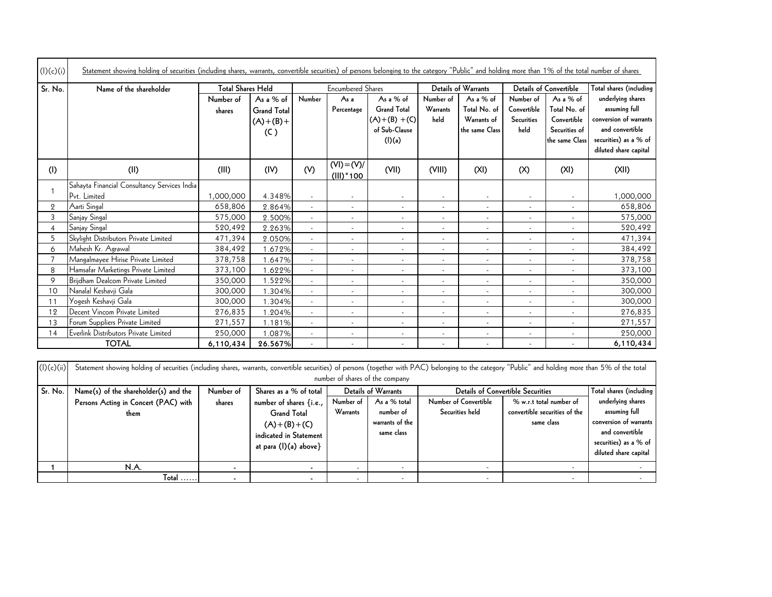| (I)(c)(i)      | Statement showing holding of securities (including shares, warrants, convertible securities) of persons belonging to the category "Public" and holding more than 1% of the total number of shares |                          |                                                      |                          |                              |                                                                             |                               |                                                            |                                                       |                                                                             |                                                                                                                                   |
|----------------|---------------------------------------------------------------------------------------------------------------------------------------------------------------------------------------------------|--------------------------|------------------------------------------------------|--------------------------|------------------------------|-----------------------------------------------------------------------------|-------------------------------|------------------------------------------------------------|-------------------------------------------------------|-----------------------------------------------------------------------------|-----------------------------------------------------------------------------------------------------------------------------------|
| Sr. No.        | Name of the shareholder                                                                                                                                                                           | <b>Total Shares Held</b> |                                                      |                          | <b>Encumbered Shares</b>     |                                                                             |                               | Details of Warrants                                        |                                                       | Details of Convertible                                                      | Total shares (including                                                                                                           |
|                |                                                                                                                                                                                                   | Number of<br>shares      | As a % of<br><b>Grand Total</b><br>$(A)+(B)+$<br>(C) | Number                   | As a<br>Percentage           | As a % of<br><b>Grand Total</b><br>$(A)+(B)+(C)$<br>of Sub-Clause<br>(I)(a) | Number of<br>Warrants<br>held | As a % of<br>Total No. of<br>Warrants of<br>the same Class | Number of<br>Convertible<br><b>Securities</b><br>held | As a % of<br>Total No. of<br>Convertible<br>Securities of<br>the same Class | underlying shares<br>assuming full<br>conversion of warrants<br>and convertible<br>securities) as a % of<br>diluted share capital |
| (1)            | (II)                                                                                                                                                                                              | (III)                    | (IV)                                                 | (V)                      | $(VI) = (V)/$<br>$(III)*100$ | (VII)                                                                       | (VIII)                        | (XI)                                                       | (X)                                                   | (XI)                                                                        | (XII)                                                                                                                             |
| 1              | Sahayta Financial Consultancy Services India                                                                                                                                                      |                          |                                                      |                          |                              |                                                                             |                               |                                                            |                                                       |                                                                             |                                                                                                                                   |
|                | Pvt. Limited                                                                                                                                                                                      | 1,000,000                | 4.348%                                               |                          | $\blacksquare$               | $\overline{\phantom{a}}$                                                    | $\blacksquare$                | $\overline{\phantom{a}}$                                   |                                                       |                                                                             | 1,000,000                                                                                                                         |
| $\overline{2}$ | Aarti Singal                                                                                                                                                                                      | 658,806                  | 2.864%                                               | $\sim$                   | $\overline{\phantom{a}}$     | $\overline{\phantom{a}}$                                                    | $\overline{\phantom{a}}$      | $\blacksquare$                                             |                                                       | $\overline{\phantom{a}}$                                                    | 658,806                                                                                                                           |
| 3              | Sanjay Singal                                                                                                                                                                                     | 575,000                  | 2.500%                                               | $\overline{\phantom{a}}$ | $\overline{\phantom{a}}$     | $\sim$                                                                      | $\overline{\phantom{a}}$      | $\overline{\phantom{a}}$                                   | $\overline{\phantom{a}}$                              | $\overline{\phantom{a}}$                                                    | 575,000                                                                                                                           |
| $\overline{4}$ | Sanjay Singal                                                                                                                                                                                     | 520,492                  | 2.263%                                               | $\sim$                   | $\sim$                       | $\overline{\phantom{a}}$                                                    | $\blacksquare$                | $\blacksquare$                                             | $\sim$                                                | $\sim$                                                                      | 520,492                                                                                                                           |
| 5              | Skylight Distributors Private Limited                                                                                                                                                             | 471,394                  | 2.050%                                               | $\sim$                   | $\blacksquare$               | $\overline{\phantom{a}}$                                                    | $\blacksquare$                | $\overline{\phantom{a}}$                                   |                                                       |                                                                             | 471,394                                                                                                                           |
| 6              | Mahesh Kr. Agrawal                                                                                                                                                                                | 384,492                  | 1.672%                                               | $\sim$                   | $\overline{\phantom{a}}$     | $\overline{\phantom{a}}$                                                    | $\blacksquare$                | $\overline{\phantom{a}}$                                   | $\blacksquare$                                        | $\sim$                                                                      | 384,492                                                                                                                           |
| $\overline{7}$ | Mangalmayee Hirise Private Limited                                                                                                                                                                | 378,758                  | 1.647%                                               |                          | $\overline{\phantom{a}}$     | $\overline{\phantom{a}}$                                                    | $\overline{\phantom{a}}$      | $\overline{\phantom{a}}$                                   | $\blacksquare$                                        |                                                                             | 378,758                                                                                                                           |
| 8              | Hamsafar Marketings Private Limited                                                                                                                                                               | 373,100                  | 1.622%                                               | $\omega$                 | $\sim$                       | $\sim$                                                                      | $\blacksquare$                | $\overline{\phantom{a}}$                                   | $\blacksquare$                                        |                                                                             | 373,100                                                                                                                           |
| 9              | Brijdham Dealcom Private Limited                                                                                                                                                                  | 350,000                  | 1.522%                                               | $\overline{\phantom{a}}$ | $\sim$                       | $\sim$                                                                      | $\overline{\phantom{a}}$      | $\overline{\phantom{a}}$                                   | $\overline{\phantom{a}}$                              | $\overline{\phantom{a}}$                                                    | 350,000                                                                                                                           |
| 10             | Nanalal Keshavji Gala                                                                                                                                                                             | 300,000                  | 1.304%                                               |                          | $\overline{\phantom{a}}$     | $\overline{\phantom{a}}$                                                    | $\overline{\phantom{a}}$      | $\overline{\phantom{a}}$                                   | $\blacksquare$                                        |                                                                             | 300,000                                                                                                                           |
| 11             | Yogesh Keshavji Gala                                                                                                                                                                              | 300,000                  | 1.304%                                               | $\sim$                   | $\sim$                       | $\sim$                                                                      | $\blacksquare$                | $\sim$                                                     | $\blacksquare$                                        |                                                                             | 300,000                                                                                                                           |
| 12             | Decent Vincom Private Limited                                                                                                                                                                     | 276,835                  | 1.204%                                               | $\overline{\phantom{a}}$ | $\blacksquare$               | $\overline{\phantom{a}}$                                                    | $\blacksquare$                | $\sim$                                                     | $\overline{\phantom{a}}$                              | $\overline{\phantom{a}}$                                                    | 276,835                                                                                                                           |
| 13             | Forum Suppliers Private Limited                                                                                                                                                                   | 271,557                  | 1.181%                                               |                          | $\overline{\phantom{a}}$     | $\overline{\phantom{a}}$                                                    | $\blacksquare$                | $\overline{\phantom{a}}$                                   |                                                       |                                                                             | 271,557                                                                                                                           |
| 14             | Everlink Distributors Private Limited                                                                                                                                                             | 250,000                  | 1.087%                                               | $\omega$                 | $\sim$                       | $\overline{\phantom{a}}$                                                    | $\overline{\phantom{a}}$      | $\overline{\phantom{a}}$                                   | $\overline{\phantom{a}}$                              |                                                                             | 250,000                                                                                                                           |
|                | <b>TOTAL</b>                                                                                                                                                                                      | 6,110,434                | 26.567%                                              |                          | $\blacksquare$               | $\overline{\phantom{a}}$                                                    | $\blacksquare$                | $\blacksquare$                                             | $\blacksquare$                                        | $\sim$                                                                      | 6,110,434                                                                                                                         |

|            | <b>TOTAL</b>                                                                                                                                                                                         | 6.110.434 | 26.567%                 |           |                                 |                          |                                          | 6,110,434               |
|------------|------------------------------------------------------------------------------------------------------------------------------------------------------------------------------------------------------|-----------|-------------------------|-----------|---------------------------------|--------------------------|------------------------------------------|-------------------------|
|            |                                                                                                                                                                                                      |           |                         |           |                                 |                          |                                          |                         |
| (I)(c)(ii) | Statement showing holding of securities (including shares, warrants, convertible securities) of persons (together with PAC) belonging to the category "Public" and holding more than 5% of the total |           |                         |           |                                 |                          |                                          |                         |
|            |                                                                                                                                                                                                      |           |                         |           | number of shares of the company |                          |                                          |                         |
| Sr. No.    | Name(s) of the shareholder(s) and the                                                                                                                                                                | Number of | Shares as a % of total  |           | <b>Details of Warrants</b>      |                          | <b>Details of Convertible Securities</b> | Total shares (including |
|            | Persons Acting in Concert (PAC) with                                                                                                                                                                 | shares    | number of shares {i.e., | Number of | As a % total                    | Number of Convertible    | % w.r.t total number of                  | underlying shares       |
|            | them                                                                                                                                                                                                 |           | <b>Grand Total</b>      | Warrants  | number of                       | Securities held          | convertible securities of the            | assuming full           |
|            |                                                                                                                                                                                                      |           | $(A)+(B)+(C)$           |           | warrants of the                 |                          | same class                               | conversion of warrants  |
|            |                                                                                                                                                                                                      |           | indicated in Statement  |           | same class                      |                          |                                          | and convertible         |
|            |                                                                                                                                                                                                      |           | at para $(l)(a)$ above} |           |                                 |                          |                                          | securities) as a % of   |
|            |                                                                                                                                                                                                      |           |                         |           |                                 |                          |                                          | diluted share capital   |
|            | N.A.                                                                                                                                                                                                 |           |                         |           | -                               |                          |                                          |                         |
|            | $Total$                                                                                                                                                                                              |           |                         |           | -                               | $\overline{\phantom{a}}$ |                                          |                         |
|            |                                                                                                                                                                                                      |           |                         |           |                                 |                          |                                          |                         |